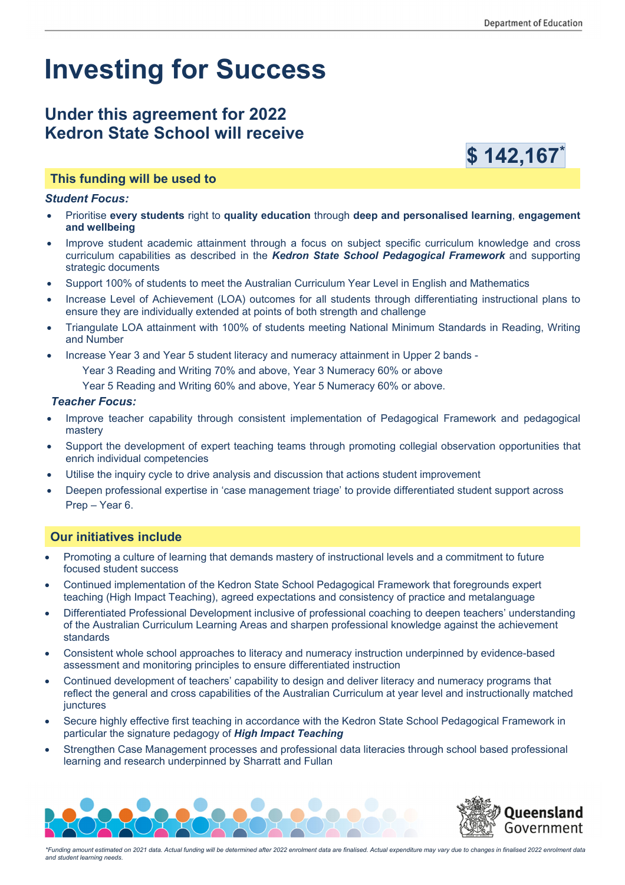# **Investing for Success**

# **Under this agreement for 2022 Kedron State School will receive**



# **This funding will be used to**

#### *Student Focus:*

- x Prioritise **every students** right to **quality education** through **deep and personalised learning**, **engagement and wellbeing**
- Improve student academic attainment through a focus on subject specific curriculum knowledge and cross curriculum capabilities as described in the *Kedron State School Pedagogical Framework* and supporting strategic documents
- Support 100% of students to meet the Australian Curriculum Year Level in English and Mathematics
- Increase Level of Achievement (LOA) outcomes for all students through differentiating instructional plans to ensure they are individually extended at points of both strength and challenge
- x Triangulate LOA attainment with 100% of students meeting National Minimum Standards in Reading, Writing and Number
- Increase Year 3 and Year 5 student literacy and numeracy attainment in Upper 2 bands -
	- Year 3 Reading and Writing 70% and above, Year 3 Numeracy 60% or above
	- Year 5 Reading and Writing 60% and above, Year 5 Numeracy 60% or above.

#### *Teacher Focus:*

- Improve teacher capability through consistent implementation of Pedagogical Framework and pedagogical mastery
- Support the development of expert teaching teams through promoting collegial observation opportunities that enrich individual competencies
- Utilise the inquiry cycle to drive analysis and discussion that actions student improvement
- Deepen professional expertise in 'case management triage' to provide differentiated student support across Prep – Year 6.

# **Our initiatives include**

- Promoting a culture of learning that demands mastery of instructional levels and a commitment to future focused student success
- Continued implementation of the Kedron State School Pedagogical Framework that foregrounds expert teaching (High Impact Teaching), agreed expectations and consistency of practice and metalanguage
- Differentiated Professional Development inclusive of professional coaching to deepen teachers' understanding of the Australian Curriculum Learning Areas and sharpen professional knowledge against the achievement standards
- Consistent whole school approaches to literacy and numeracy instruction underpinned by evidence-based assessment and monitoring principles to ensure differentiated instruction
- Continued development of teachers' capability to design and deliver literacy and numeracy programs that reflect the general and cross capabilities of the Australian Curriculum at year level and instructionally matched junctures
- Secure highly effective first teaching in accordance with the Kedron State School Pedagogical Framework in particular the signature pedagogy of *High Impact Teaching*
- Strengthen Case Management processes and professional data literacies through school based professional learning and research underpinned by Sharratt and Fullan





*\*Funding amount estimated on 2021 data. Actual funding will be determined after 2022 enrolment data are finalised. Actual expenditure may vary due to changes in finalised 2022 enrolment data and student learning needs.*